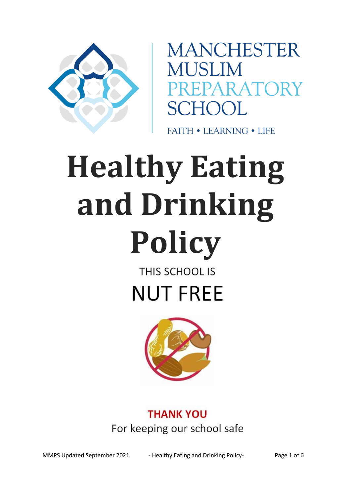

**MANCHESTER MUSLIM SCHOOL** 

**FAITH • LEARNING • LIFE** 

# **Healthy Eating and Drinking Policy** THIS SCHOOL IS

**NUT FREE** 



## **THANK YOU** For keeping our school safe

MMPS Updated September 2021 - Healthy Eating and Drinking Policy- Page 1 of 6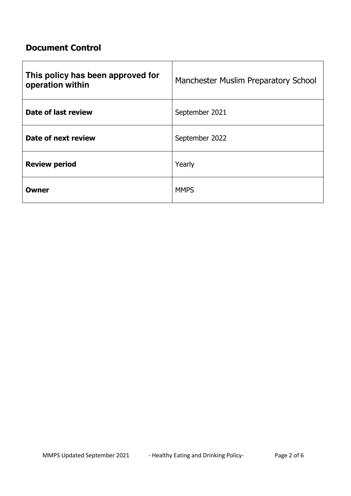### **Document Control**

| This policy has been approved for<br>operation within | Manchester Muslim Preparatory School |
|-------------------------------------------------------|--------------------------------------|
| Date of last review                                   | September 2021                       |
| Date of next review                                   | September 2022                       |
| <b>Review period</b>                                  | Yearly                               |
| Owner                                                 | <b>MMPS</b>                          |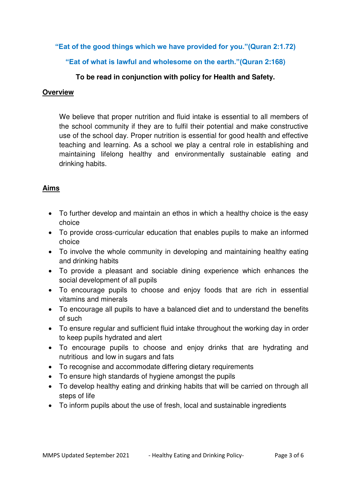**"Eat of the good things which we have provided for you."(Quran 2:1.72)**

**"Eat of what is lawful and wholesome on the earth."(Quran 2:168)** 

#### **To be read in conjunction with policy for Health and Safety.**

#### **Overview**

We believe that proper nutrition and fluid intake is essential to all members of the school community if they are to fulfil their potential and make constructive use of the school day. Proper nutrition is essential for good health and effective teaching and learning. As a school we play a central role in establishing and maintaining lifelong healthy and environmentally sustainable eating and drinking habits.

#### **Aims**

- To further develop and maintain an ethos in which a healthy choice is the easy choice
- To provide cross-curricular education that enables pupils to make an informed choice
- To involve the whole community in developing and maintaining healthy eating and drinking habits
- To provide a pleasant and sociable dining experience which enhances the social development of all pupils
- To encourage pupils to choose and enjoy foods that are rich in essential vitamins and minerals
- To encourage all pupils to have a balanced diet and to understand the benefits of such
- To ensure regular and sufficient fluid intake throughout the working day in order to keep pupils hydrated and alert
- To encourage pupils to choose and enjoy drinks that are hydrating and nutritious and low in sugars and fats
- To recognise and accommodate differing dietary requirements
- To ensure high standards of hygiene amongst the pupils
- To develop healthy eating and drinking habits that will be carried on through all steps of life
- To inform pupils about the use of fresh, local and sustainable ingredients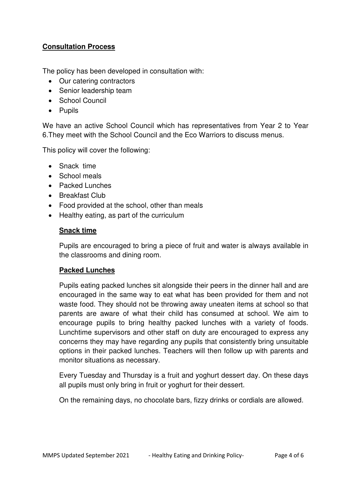#### **Consultation Process**

The policy has been developed in consultation with:

- Our catering contractors
- Senior leadership team
- School Council
- Pupils

We have an active School Council which has representatives from Year 2 to Year 6.They meet with the School Council and the Eco Warriors to discuss menus.

This policy will cover the following:

- Snack time
- School meals
- Packed Lunches
- Breakfast Club
- Food provided at the school, other than meals
- Healthy eating, as part of the curriculum

#### **Snack time**

Pupils are encouraged to bring a piece of fruit and water is always available in the classrooms and dining room.

#### **Packed Lunches**

Pupils eating packed lunches sit alongside their peers in the dinner hall and are encouraged in the same way to eat what has been provided for them and not waste food. They should not be throwing away uneaten items at school so that parents are aware of what their child has consumed at school. We aim to encourage pupils to bring healthy packed lunches with a variety of foods. Lunchtime supervisors and other staff on duty are encouraged to express any concerns they may have regarding any pupils that consistently bring unsuitable options in their packed lunches. Teachers will then follow up with parents and monitor situations as necessary.

Every Tuesday and Thursday is a fruit and yoghurt dessert day. On these days all pupils must only bring in fruit or yoghurt for their dessert.

On the remaining days, no chocolate bars, fizzy drinks or cordials are allowed.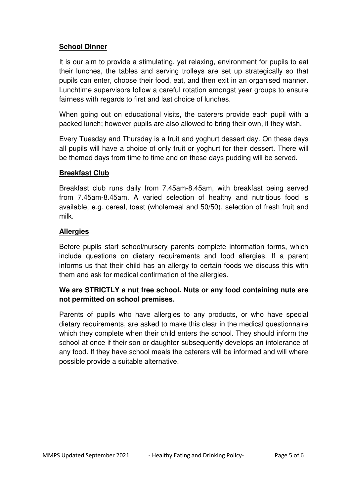#### **School Dinner**

It is our aim to provide a stimulating, yet relaxing, environment for pupils to eat their lunches, the tables and serving trolleys are set up strategically so that pupils can enter, choose their food, eat, and then exit in an organised manner. Lunchtime supervisors follow a careful rotation amongst year groups to ensure fairness with regards to first and last choice of lunches.

When going out on educational visits, the caterers provide each pupil with a packed lunch; however pupils are also allowed to bring their own, if they wish.

Every Tuesday and Thursday is a fruit and yoghurt dessert day. On these days all pupils will have a choice of only fruit or yoghurt for their dessert. There will be themed days from time to time and on these days pudding will be served.

#### **Breakfast Club**

Breakfast club runs daily from 7.45am-8.45am, with breakfast being served from 7.45am-8.45am. A varied selection of healthy and nutritious food is available, e.g. cereal, toast (wholemeal and 50/50), selection of fresh fruit and milk.

#### **Allergies**

Before pupils start school/nursery parents complete information forms, which include questions on dietary requirements and food allergies. If a parent informs us that their child has an allergy to certain foods we discuss this with them and ask for medical confirmation of the allergies.

#### **We are STRICTLY a nut free school. Nuts or any food containing nuts are not permitted on school premises.**

Parents of pupils who have allergies to any products, or who have special dietary requirements, are asked to make this clear in the medical questionnaire which they complete when their child enters the school. They should inform the school at once if their son or daughter subsequently develops an intolerance of any food. If they have school meals the caterers will be informed and will where possible provide a suitable alternative.